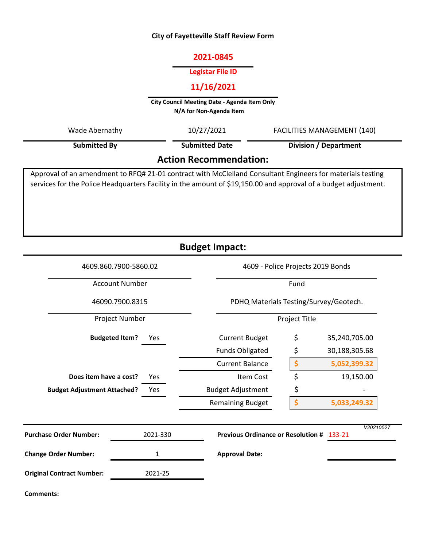## **City of Fayetteville Staff Review Form**

## **2021-0845**

#### **Legistar File ID**

# **11/16/2021**

**City Council Meeting Date - Agenda Item Only N/A for Non-Agenda Item** 

| Wade Abernathy                | 10/27/2021            | <b>FACILITIES MANAGEMENT (140)</b><br><b>Division / Department</b>                                         |  |  |  |
|-------------------------------|-----------------------|------------------------------------------------------------------------------------------------------------|--|--|--|
| <b>Submitted By</b>           | <b>Submitted Date</b> |                                                                                                            |  |  |  |
| <b>Action Recommendation:</b> |                       |                                                                                                            |  |  |  |
|                               |                       | Approval of an amendment to RFQ# 21-01 contract with McClelland Consultant Engineers for materials testing |  |  |  |

services for the Police Headquarters Facility in the amount of \$19,150.00 and approval of a budget adjustment.

**Budget Impact:**

| 4609.860.7900-5860.02<br><b>Account Number</b><br>46090.7900.8315 |          | 4609 - Police Projects 2019 Bonds<br>Fund |                    |               |  |
|-------------------------------------------------------------------|----------|-------------------------------------------|--------------------|---------------|--|
|                                                                   |          |                                           |                    |               |  |
|                                                                   |          | Project Number                            |                    | Project Title |  |
| <b>Budgeted Item?</b>                                             | Yes      | <b>Current Budget</b>                     | \$                 | 35,240,705.00 |  |
|                                                                   |          | <b>Funds Obligated</b>                    | \$                 | 30,188,305.68 |  |
|                                                                   |          | <b>Current Balance</b>                    | \$                 | 5,052,399.32  |  |
| Does item have a cost?                                            | Yes      | Item Cost                                 | \$                 | 19,150.00     |  |
| <b>Budget Adjustment Attached?</b>                                | Yes      | <b>Budget Adjustment</b>                  | \$                 |               |  |
|                                                                   |          | <b>Remaining Budget</b>                   | $\dot{\mathsf{S}}$ | 5,033,249.32  |  |
| <b>Purchase Order Number:</b>                                     | 2021-330 | Previous Ordinance or Resolution # 133-21 |                    | V20210527     |  |
| <b>Change Order Number:</b>                                       | 1        | <b>Approval Date:</b>                     |                    |               |  |
| <b>Original Contract Number:</b>                                  | 2021-25  |                                           |                    |               |  |
| Comments:                                                         |          |                                           |                    |               |  |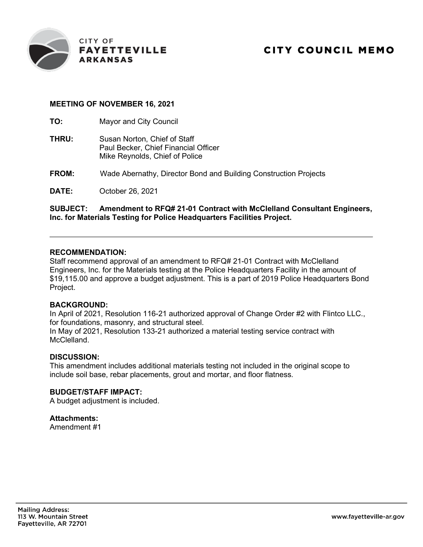

## **MEETING OF NOVEMBER 16, 2021**

**TO:** Mayor and City Council

- **THRU:** Susan Norton, Chief of Staff Paul Becker, Chief Financial Officer Mike Reynolds, Chief of Police
- **FROM:** Wade Abernathy, Director Bond and Building Construction Projects

**DATE:** October 26, 2021

## **SUBJECT: Amendment to RFQ# 21-01 Contract with McClelland Consultant Engineers, Inc. for Materials Testing for Police Headquarters Facilities Project.**

#### **RECOMMENDATION:**

Staff recommend approval of an amendment to RFQ# 21-01 Contract with McClelland Engineers, Inc. for the Materials testing at the Police Headquarters Facility in the amount of \$19,115.00 and approve a budget adjustment. This is a part of 2019 Police Headquarters Bond Project.

#### **BACKGROUND:**

In April of 2021, Resolution 116-21 authorized approval of Change Order #2 with Flintco LLC., for foundations, masonry, and structural steel. In May of 2021, Resolution 133-21 authorized a material testing service contract with McClelland.

#### **DISCUSSION:**

This amendment includes additional materials testing not included in the original scope to include soil base, rebar placements, grout and mortar, and floor flatness.

## **BUDGET/STAFF IMPACT:**

A budget adjustment is included.

#### **Attachments:**

Amendment #1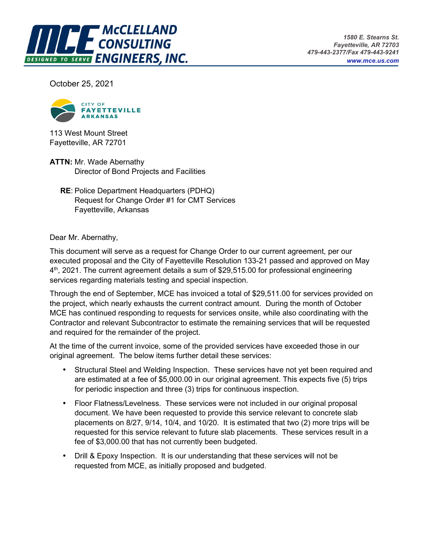

October 25, 2021



113 West Mount Street Fayetteville, AR 72701

**ATTN:** Mr. Wade Abernathy Director of Bond Projects and Facilities

 **RE**: Police Department Headquarters (PDHQ) Request for Change Order #1 for CMT Services Fayetteville, Arkansas

Dear Mr. Abernathy,

This document will serve as a request for Change Order to our current agreement, per our executed proposal and the City of Fayetteville Resolution 133-21 passed and approved on May 4<sup>th</sup>, 2021. The current agreement details a sum of \$29,515.00 for professional engineering services regarding materials testing and special inspection.

Through the end of September, MCE has invoiced a total of \$29,511.00 for services provided on the project, which nearly exhausts the current contract amount. During the month of October MCE has continued responding to requests for services onsite, while also coordinating with the Contractor and relevant Subcontractor to estimate the remaining services that will be requested and required for the remainder of the project.

At the time of the current invoice, some of the provided services have exceeded those in our original agreement. The below items further detail these services:

- Structural Steel and Welding Inspection. These services have not yet been required and are estimated at a fee of \$5,000.00 in our original agreement. This expects five (5) trips for periodic inspection and three (3) trips for continuous inspection.
- Floor Flatness/Levelness. These services were not included in our original proposal document. We have been requested to provide this service relevant to concrete slab placements on 8/27, 9/14, 10/4, and 10/20. It is estimated that two (2) more trips will be requested for this service relevant to future slab placements. These services result in a fee of \$3,000.00 that has not currently been budgeted.
- Drill & Epoxy Inspection. It is our understanding that these services will not be requested from MCE, as initially proposed and budgeted.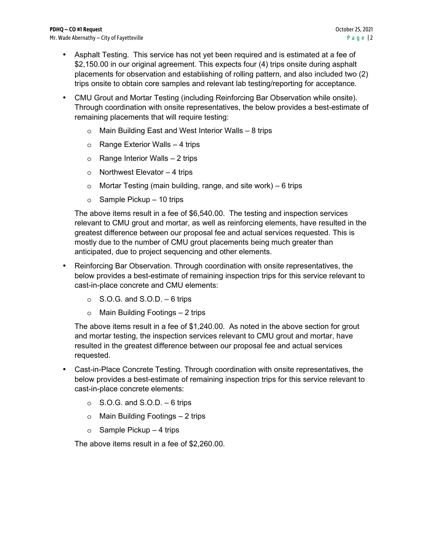- Asphalt Testing. This service has not yet been required and is estimated at a fee of \$2,150.00 in our original agreement. This expects four (4) trips onsite during asphalt placements for observation and establishing of rolling pattern, and also included two (2) trips onsite to obtain core samples and relevant lab testing/reporting for acceptance.
- CMU Grout and Mortar Testing (including Reinforcing Bar Observation while onsite). Through coordination with onsite representatives, the below provides a best-estimate of remaining placements that will require testing:
	- o Main Building East and West Interior Walls 8 trips
	- o Range Exterior Walls 4 trips
	- o Range Interior Walls 2 trips
	- o Northwest Elevator 4 trips
	- o Mortar Testing (main building, range, and site work) 6 trips
	- $\circ$  Sample Pickup 10 trips

The above items result in a fee of \$6,540.00. The testing and inspection services relevant to CMU grout and mortar, as well as reinforcing elements, have resulted in the greatest difference between our proposal fee and actual services requested. This is mostly due to the number of CMU grout placements being much greater than anticipated, due to project sequencing and other elements.

- Reinforcing Bar Observation. Through coordination with onsite representatives, the below provides a best-estimate of remaining inspection trips for this service relevant to cast-in-place concrete and CMU elements:
	- $\circ$  S.O.G. and S.O.D. 6 trips
	- o Main Building Footings 2 trips

The above items result in a fee of \$1,240.00. As noted in the above section for grout and mortar testing, the inspection services relevant to CMU grout and mortar, have resulted in the greatest difference between our proposal fee and actual services requested.

- Cast-in-Place Concrete Testing. Through coordination with onsite representatives, the below provides a best-estimate of remaining inspection trips for this service relevant to cast-in-place concrete elements:
	- $\circ$  S.O.G. and S.O.D. 6 trips
	- o Main Building Footings 2 trips
	- $\circ$  Sample Pickup 4 trips

The above items result in a fee of \$2,260.00.